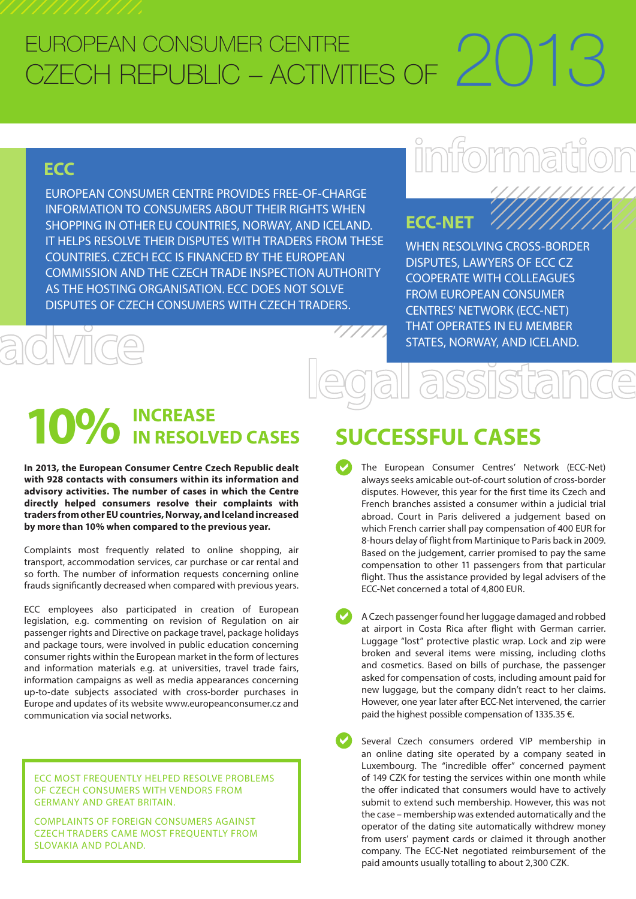#### EUROPEAN CONSUMER CENTRE CZECH REPUBLIC – ACTIVITIES OF FUROPFAN CONSUMER CENTRE CZECH REPUBLIC – ACTIVITIES OF 2013

### **ECC**

EUROPEAN CONSUMER CENTRE PROVIDES FREE-OF-CHARGE INFORMATION TO CONSUMERS ABOUT THEIR RIGHTS WHEN SHOPPING IN OTHER EU COUNTRIES, NORWAY, AND ICELAND. IT HELPS RESOLVE THEIR DISPUTES WITH TRADERS FROM THESE COUNTRIES. CZECH ECC IS FINANCED BY THE EUROPEAN COMMISSION AND THE CZECH TRADE INSPECTION AUTHORITY AS THE HOSTING ORGANISATION. ECC DOES NOT SOLVE DISPUTES OF CZECH CONSUMERS WITH CZECH TRADERS. EVROPSKÉ SPOTŘEBITELSKÉ CENTRUM INFORMATION TO CONSOMERS ABOUT THEIR RIGHTS WHEN<br>SHOPPING IN OTHER EU COUNTRIES, NORWAY, AND ICELAND. **ECC**<br>IT HELPS RESOLVE THEIR DISPUTES WITH TRADERS FROM THESE

# 

### **ECC-NET**

WHEN RESOLVING CROSS-BORDER DISPUTES, LAWYERS OF ECC CZ COOPERATE WITH COLLEAGUES FROM EUROPEAN CONSUMER CENTRES' NETWORK (ECC-NET) THAT OPERATES IN EU MEMBER STATES, NORWAY, AND ICELAND. CIVICÊ STAT

# $10\%$  **INCREASE**<br> **10%** IN RESOLVED CASES

**In 2013, the European Consumer Centre Czech Republic dealt with 928 contacts with consumers within its information and advisory activities. The number of cases in which the Centre directly helped consumers resolve their complaints with traders from other EU countries, Norway, and Iceland increased by more than 10% when compared to the previous year.**

Complaints most frequently related to online shopping, air transport, accommodation services, car purchase or car rental and so forth. The number of information requests concerning online frauds significantly decreased when compared with previous years. Complaints most frequently related to online shopping, air<br>transport, accommodation services, car purchase or car rental and<br>so forth. The number of information requests concerning online<br>frauds significantly decreased whe

ECC employees also participated in creation of European legislation, e.g. commenting on revision of Regulation on air passenger rights and Directive on package travel, package holidays and package tours, were involved in public education concerning consumer rights within the European market in the form of lectures and information materials e.g. at universities, travel trade fairs, information campaigns as well as media appearances concerning up-to-date subjects associated with cross-border purchases in Europe and updates of its website <www.europeanconsumer.cz>and communication via social networks. Information campaigns as well as media appearances concerning<br>up-to-date subjects associated with cross-border purchases in<br>Europe and updates of its website www.europeanconsumer.cz and<br>communication via social networks.

#### ECC MOST FREQUENTLY HELPED RESOLVE PROBLEMS OF CZECH CONSUMERS WITH VENDORS FROM GERMANY AND GREAT BRITAIN.

COMPLAINTS OF FOREIGN CONSUMERS AGAINST CZECH TRADERS CAME MOST FREQUENTLY FROM SLOVAKIA AND POLAND.

## **SUCCESSFUL CASES**

- $\bullet$ The European Consumer Centres' Network (ECC-Net) always seeks amicable out-of-court solution of cross-border disputes. However, this year for the first time its Czech and French branches assisted a consumer within a judicial trial abroad. Court in Paris delivered a judgement based on which French carrier shall pay compensation of 400 EUR for 8-hours delay of flight from Martinique to Paris back in 2009. Based on the judgement, carrier promised to pay the same compensation to other 11 passengers from that particular flight. Thus the assistance provided by legal advisers of the ECC-Net concerned a total of 4,800 EUR.  $\bullet$
- A Czech passenger found her luggage damaged and robbed at airport in Costa Rica after flight with German carrier. Luggage "lost" protective plastic wrap. Lock and zip were broken and several items were missing, including cloths and cosmetics. Based on bills of purchase, the passenger asked for compensation of costs, including amount paid for new luggage, but the company didn't react to her claims. However, one year later after ECC-Net intervened, the carrier paid the highest possible compensation of 1335.35 €.  $\bullet$
- Several Czech consumers ordered VIP membership in an online dating site operated by a company seated in Luxembourg. The "incredible offer" concerned payment of 149 CZK for testing the services within one month while the offer indicated that consumers would have to actively submit to extend such membership. However, this was not the case – membership was extended automatically and the operator of the dating site automatically withdrew money from users' payment cards or claimed it through another company. The ECC-Net negotiated reimbursement of the paid amounts usually totalling to about 2,300 CZK.  $\bullet$  $\bullet$